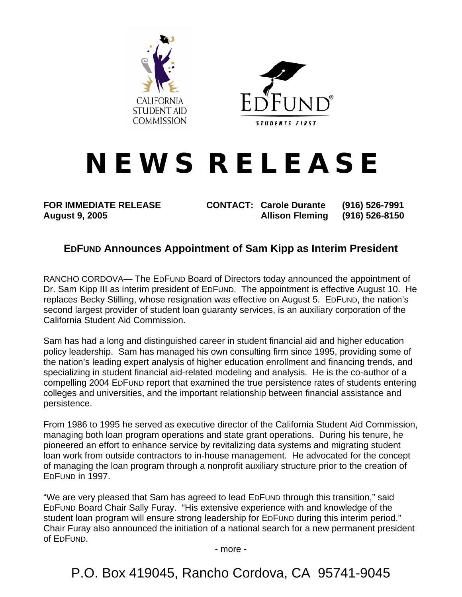



## **N E W S R E L E A S E**

**FOR IMMEDIATE RELEASE CONTACT: Carole Durante (916) 526-7991 August 9, 2005 Allison Fleming (916) 526-8150** 

## **EDFUND Announces Appointment of Sam Kipp as Interim President**

RANCHO CORDOVA— The EDFUND Board of Directors today announced the appointment of Dr. Sam Kipp III as interim president of EDFUND. The appointment is effective August 10. He replaces Becky Stilling, whose resignation was effective on August 5. EDFUND, the nation's second largest provider of student loan guaranty services, is an auxiliary corporation of the California Student Aid Commission.

Sam has had a long and distinguished career in student financial aid and higher education policy leadership. Sam has managed his own consulting firm since 1995, providing some of the nation's leading expert analysis of higher education enrollment and financing trends, and specializing in student financial aid-related modeling and analysis. He is the co-author of a compelling 2004 EDFUND report that examined the true persistence rates of students entering colleges and universities, and the important relationship between financial assistance and persistence.

From 1986 to 1995 he served as executive director of the California Student Aid Commission, managing both loan program operations and state grant operations. During his tenure, he pioneered an effort to enhance service by revitalizing data systems and migrating student loan work from outside contractors to in-house management. He advocated for the concept of managing the loan program through a nonprofit auxiliary structure prior to the creation of EDFUND in 1997.

"We are very pleased that Sam has agreed to lead EDFUND through this transition," said EDFUND Board Chair Sally Furay. "His extensive experience with and knowledge of the student loan program will ensure strong leadership for EDFUND during this interim period." Chair Furay also announced the initiation of a national search for a new permanent president of EDFUND.

- more -

P.O. Box 419045, Rancho Cordova, CA 95741-9045